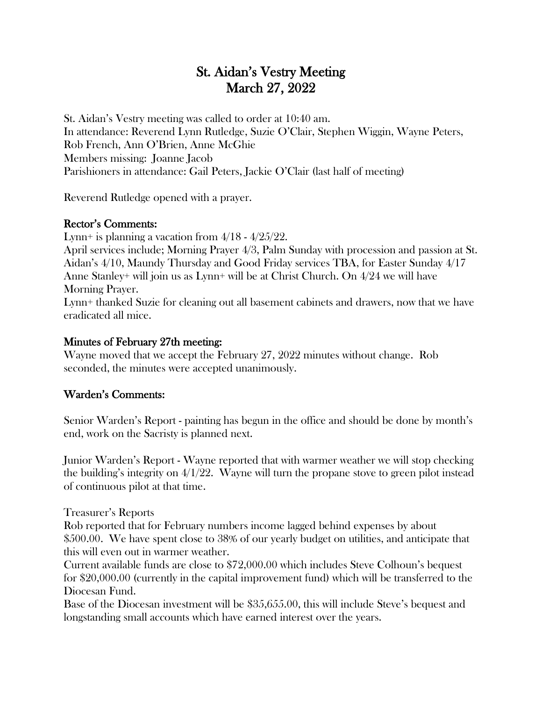# St. Aidan's Vestry Meeting March 27, 2022

St. Aidan's Vestry meeting was called to order at 10:40 am. In attendance: Reverend Lynn Rutledge, Suzie O'Clair, Stephen Wiggin, Wayne Peters, Rob French, Ann O'Brien, Anne McGhie Members missing: Joanne Jacob Parishioners in attendance: Gail Peters, Jackie O'Clair (last half of meeting)

Reverend Rutledge opened with a prayer.

#### Rector's Comments:

Lynn+ is planning a vacation from  $4/18 - 4/25/22$ .

April services include; Morning Prayer 4/3, Palm Sunday with procession and passion at St. Aidan's 4/10, Maundy Thursday and Good Friday services TBA, for Easter Sunday 4/17 Anne Stanley+ will join us as Lynn+ will be at Christ Church. On 4/24 we will have Morning Prayer.

Lynn+ thanked Suzie for cleaning out all basement cabinets and drawers, now that we have eradicated all mice.

### Minutes of February 27th meeting:

Wayne moved that we accept the February 27, 2022 minutes without change. Rob seconded, the minutes were accepted unanimously.

### Warden's Comments:

Senior Warden's Report - painting has begun in the office and should be done by month's end, work on the Sacristy is planned next.

Junior Warden's Report - Wayne reported that with warmer weather we will stop checking the building's integrity on 4/1/22. Wayne will turn the propane stove to green pilot instead of continuous pilot at that time.

Treasurer's Reports

Rob reported that for February numbers income lagged behind expenses by about \$500.00. We have spent close to 38% of our yearly budget on utilities, and anticipate that this will even out in warmer weather.

Current available funds are close to \$72,000.00 which includes Steve Colhoun's bequest for \$20,000.00 (currently in the capital improvement fund) which will be transferred to the Diocesan Fund.

Base of the Diocesan investment will be \$35,655.00, this will include Steve's bequest and longstanding small accounts which have earned interest over the years.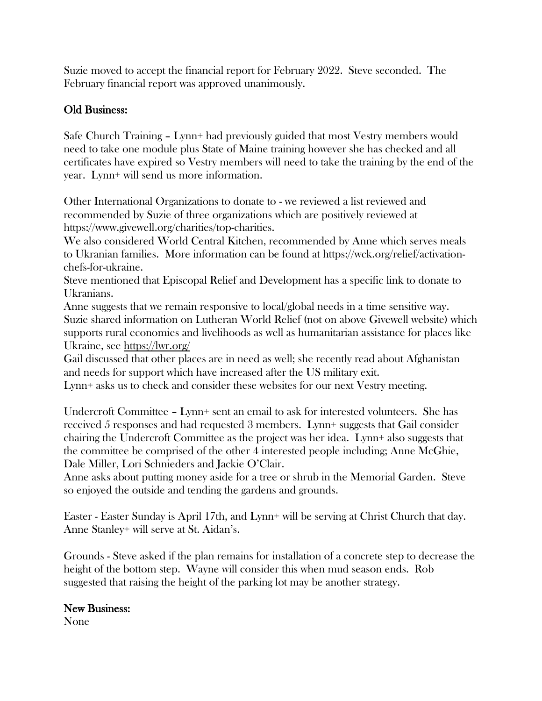Suzie moved to accept the financial report for February 2022. Steve seconded. The February financial report was approved unanimously.

## Old Business:

Safe Church Training – Lynn+ had previously guided that most Vestry members would need to take one module plus State of Maine training however she has checked and all certificates have expired so Vestry members will need to take the training by the end of the year. Lynn+ will send us more information.

Other International Organizations to donate to - we reviewed a list reviewed and recommended by Suzie of three organizations which are positively reviewed at https://www.givewell.org/charities/top-charities.

We also considered World Central Kitchen, recommended by Anne which serves meals to Ukranian families. More information can be found at https://wck.org/relief/activationchefs-for-ukraine.

Steve mentioned that Episcopal Relief and Development has a specific link to donate to Ukranians.

Anne suggests that we remain responsive to local/global needs in a time sensitive way. Suzie shared information on Lutheran World Relief (not on above Givewell website) which supports rural economies and livelihoods as well as humanitarian assistance for places like Ukraine, see <https://lwr.org/>

Gail discussed that other places are in need as well; she recently read about Afghanistan and needs for support which have increased after the US military exit.

Lynn+ asks us to check and consider these websites for our next Vestry meeting.

Undercroft Committee – Lynn+ sent an email to ask for interested volunteers. She has received 5 responses and had requested 3 members. Lynn+ suggests that Gail consider chairing the Undercroft Committee as the project was her idea. Lynn+ also suggests that the committee be comprised of the other 4 interested people including; Anne McGhie, Dale Miller, Lori Schnieders and Jackie O'Clair.

Anne asks about putting money aside for a tree or shrub in the Memorial Garden. Steve so enjoyed the outside and tending the gardens and grounds.

Easter - Easter Sunday is April 17th, and Lynn+ will be serving at Christ Church that day. Anne Stanley+ will serve at St. Aidan's.

Grounds - Steve asked if the plan remains for installation of a concrete step to decrease the height of the bottom step. Wayne will consider this when mud season ends. Rob suggested that raising the height of the parking lot may be another strategy.

### New Business:

None